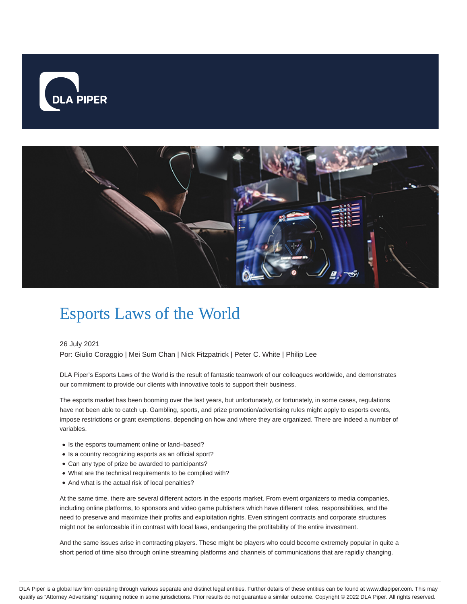



# Esports Laws of the World

#### 26 July 2021

Por: Giulio Coraggio | Mei Sum Chan | Nick Fitzpatrick | Peter C. White | Philip Lee

DLA Piper's Esports Laws of the World is the result of fantastic teamwork of our colleagues worldwide, and demonstrates our commitment to provide our clients with innovative tools to support their business.

The esports market has been booming over the last years, but unfortunately, or fortunately, in some cases, regulations have not been able to catch up. Gambling, sports, and prize promotion/advertising rules might apply to esports events, impose restrictions or grant exemptions, depending on how and where they are organized. There are indeed a number of variables.

- Is the esports tournament online or land-based?
- Is a country recognizing esports as an official sport?
- Can any type of prize be awarded to participants?
- What are the technical requirements to be complied with?
- And what is the actual risk of local penalties?

At the same time, there are several different actors in the esports market. From event organizers to media companies, including online platforms, to sponsors and video game publishers which have different roles, responsibilities, and the need to preserve and maximize their profits and exploitation rights. Even stringent contracts and corporate structures might not be enforceable if in contrast with local laws, endangering the profitability of the entire investment.

And the same issues arise in contracting players. These might be players who could become extremely popular in quite a short period of time also through online streaming platforms and channels of communications that are rapidly changing.